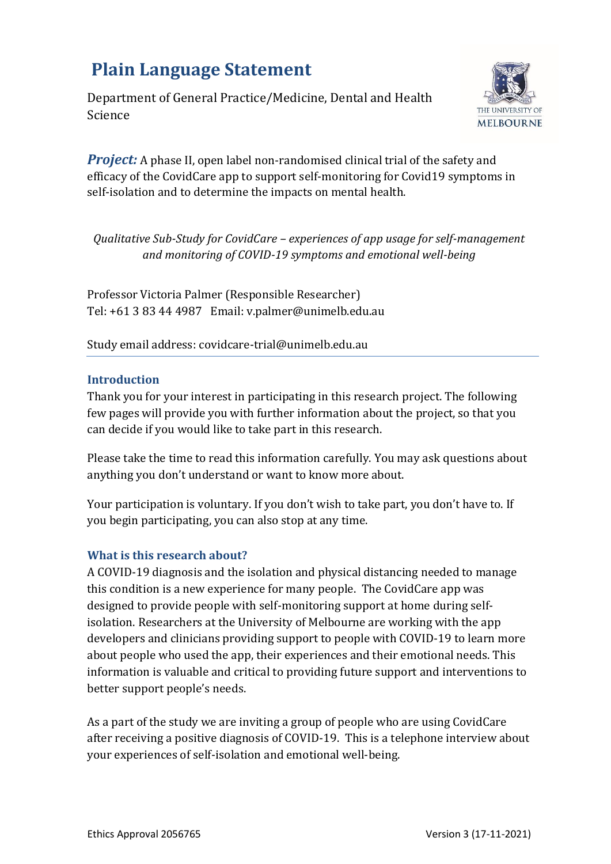# **Plain Language Statement**

Department of General Practice/Medicine, Dental and Health Science



*Project:* A phase II, open label non-randomised clinical trial of the safety and efficacy of the CovidCare app to support self-monitoring for Covid19 symptoms in self-isolation and to determine the impacts on mental health.

*Qualitative Sub-Study for CovidCare – experiences of app usage for self-management and monitoring of COVID-19 symptoms and emotional well-being*

Professor Victoria Palmer (Responsible Researcher) Tel: +61 3 83 44 4987 Email: v.palmer@unimelb.edu.au

Study email address: covidcare-trial@unimelb.edu.au

## **Introduction**

Thank you for your interest in participating in this research project. The following few pages will provide you with further information about the project, so that you can decide if you would like to take part in this research.

Please take the time to read this information carefully. You may ask questions about anything you don't understand or want to know more about.

Your participation is voluntary. If you don't wish to take part, you don't have to. If you begin participating, you can also stop at any time.

# **What is this research about?**

A COVID-19 diagnosis and the isolation and physical distancing needed to manage this condition is a new experience for many people. The CovidCare app was designed to provide people with self-monitoring support at home during selfisolation. Researchers at the University of Melbourne are working with the app developers and clinicians providing support to people with COVID-19 to learn more about people who used the app, their experiences and their emotional needs. This information is valuable and critical to providing future support and interventions to better support people's needs.

As a part of the study we are inviting a group of people who are using CovidCare after receiving a positive diagnosis of COVID-19. This is a telephone interview about your experiences of self-isolation and emotional well-being.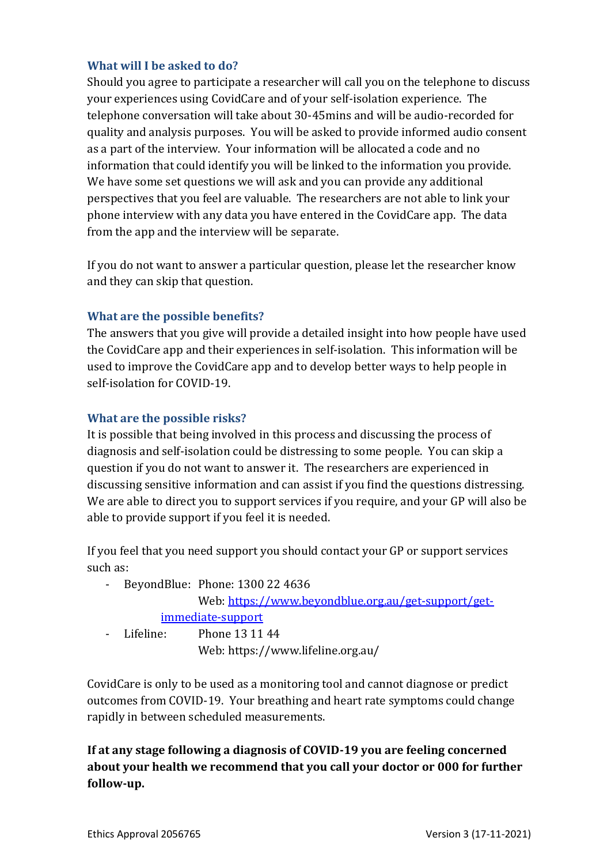# **What will I be asked to do?**

Should you agree to participate a researcher will call you on the telephone to discuss your experiences using CovidCare and of your self-isolation experience. The telephone conversation will take about 30-45mins and will be audio-recorded for quality and analysis purposes. You will be asked to provide informed audio consent as a part of the interview. Your information will be allocated a code and no information that could identify you will be linked to the information you provide. We have some set questions we will ask and you can provide any additional perspectives that you feel are valuable. The researchers are not able to link your phone interview with any data you have entered in the CovidCare app. The data from the app and the interview will be separate.

If you do not want to answer a particular question, please let the researcher know and they can skip that question.

# **What are the possible benefits?**

The answers that you give will provide a detailed insight into how people have used the CovidCare app and their experiences in self-isolation. This information will be used to improve the CovidCare app and to develop better ways to help people in self-isolation for COVID-19.

# **What are the possible risks?**

It is possible that being involved in this process and discussing the process of diagnosis and self-isolation could be distressing to some people. You can skip a question if you do not want to answer it. The researchers are experienced in discussing sensitive information and can assist if you find the questions distressing. We are able to direct you to support services if you require, and your GP will also be able to provide support if you feel it is needed.

If you feel that you need support you should contact your GP or support services such as:

- BeyondBlue: Phone: 1300 22 4636 Web: [https://www.beyondblue.org.au/get-support/get](https://www.beyondblue.org.au/get-support/get-immediate-support)[immediate-support](https://www.beyondblue.org.au/get-support/get-immediate-support) - Lifeline: Phone 13 11 44 Web: https://www.lifeline.org.au/

CovidCare is only to be used as a monitoring tool and cannot diagnose or predict outcomes from COVID-19. Your breathing and heart rate symptoms could change rapidly in between scheduled measurements.

**If at any stage following a diagnosis of COVID-19 you are feeling concerned about your health we recommend that you call your doctor or 000 for further follow-up.**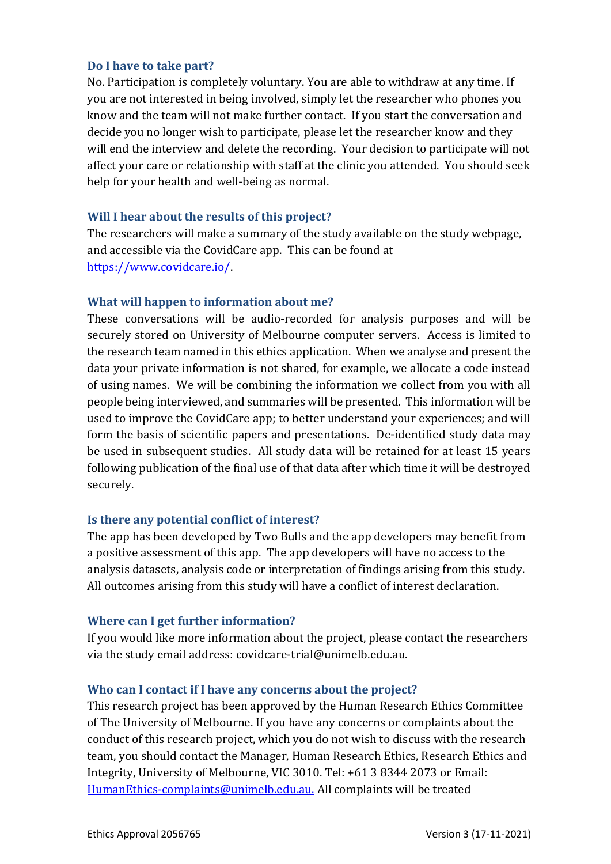## **Do I have to take part?**

No. Participation is completely voluntary. You are able to withdraw at any time. If you are not interested in being involved, simply let the researcher who phones you know and the team will not make further contact. If you start the conversation and decide you no longer wish to participate, please let the researcher know and they will end the interview and delete the recording. Your decision to participate will not affect your care or relationship with staff at the clinic you attended. You should seek help for your health and well-being as normal.

#### **Will I hear about the results of this project?**

The researchers will make a summary of the study available on the study webpage, and accessible via the CovidCare app. This can be found at [https://www.covidcare.io/.](https://www.covidcare.io/)

#### **What will happen to information about me?**

These conversations will be audio-recorded for analysis purposes and will be securely stored on University of Melbourne computer servers. Access is limited to the research team named in this ethics application. When we analyse and present the data your private information is not shared, for example, we allocate a code instead of using names. We will be combining the information we collect from you with all people being interviewed, and summaries will be presented. This information will be used to improve the CovidCare app; to better understand your experiences; and will form the basis of scientific papers and presentations. De-identified study data may be used in subsequent studies. All study data will be retained for at least 15 years following publication of the final use of that data after which time it will be destroyed securely.

## **Is there any potential conflict of interest?**

The app has been developed by Two Bulls and the app developers may benefit from a positive assessment of this app. The app developers will have no access to the analysis datasets, analysis code or interpretation of findings arising from this study. All outcomes arising from this study will have a conflict of interest declaration.

#### **Where can I get further information?**

If you would like more information about the project, please contact the researchers via the study email address: covidcare-trial@unimelb.edu.au.

#### **Who can I contact if I have any concerns about the project?**

This research project has been approved by the Human Research Ethics Committee of The University of Melbourne. If you have any concerns or complaints about the conduct of this research project, which you do not wish to discuss with the research team, you should contact the Manager, Human Research Ethics, Research Ethics and Integrity, University of Melbourne, VIC 3010. Tel: +61 3 8344 2073 or Email: [HumanEthics-complaints@unimelb.edu.au](mailto:HumanEthics-complaints@unimelb.edu.au?subject=Complaint%20about%20a%20human%20research%20project&body=Ethics%20ID%20number%20or%20project%20name%3A%0AName%20of%20researcher%2Fs%3A%0ADetails%3A)[.](mailto:HumanEthics-complaints@unimelb.edu.au?subject=Complaints%20about%20human%20research%20ethics%20project&body=Ethics%20ID%20number%20of%20name%20of%20project%3A%0AName%20of%20researchers%3A) All complaints will be treated